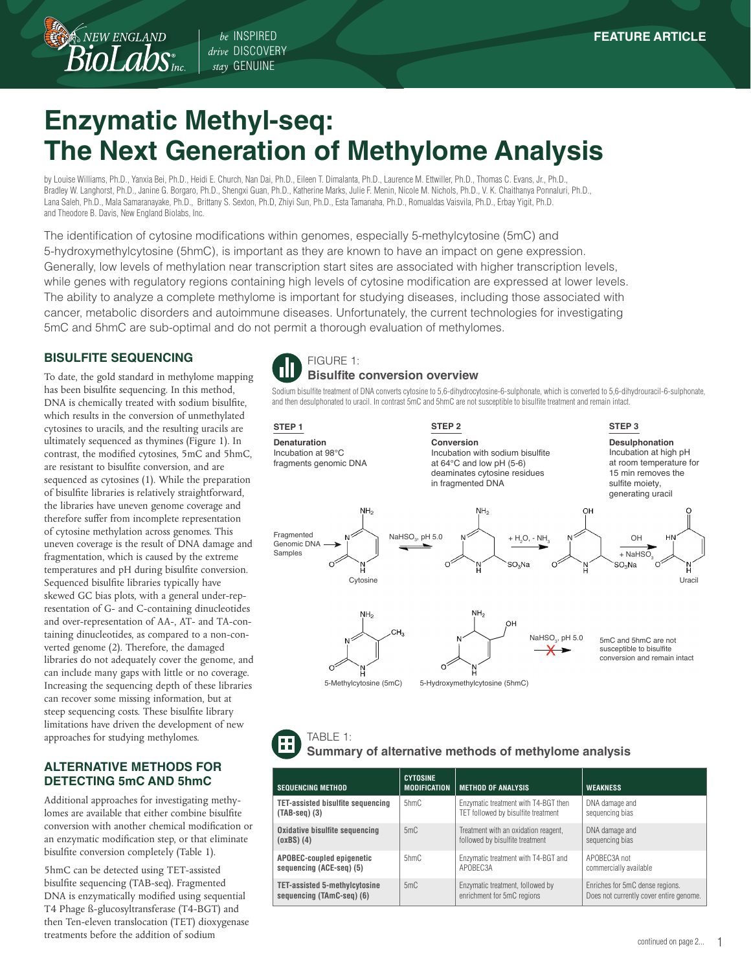*drive* DISCOVERY *stay* GENUINE

# **Enzymatic Methyl-seq: The Next Generation of Methylome Analysis**

by Louise Williams, Ph.D., Yanxia Bei, Ph.D., Heidi E. Church, Nan Dai, Ph.D., Eileen T. Dimalanta, Ph.D., Laurence M. Ettwiller, Ph.D., Thomas C. Evans, Jr., Ph.D., Bradley W. Langhorst, Ph.D., Janine G. Borgaro, Ph.D., Shengxi Guan, Ph.D., Katherine Marks, Julie F. Menin, Nicole M. Nichols, Ph.D., V. K. Chaithanya Ponnaluri, Ph.D., Lana Saleh, Ph.D., Mala Samaranayake, Ph.D., Brittany S. Sexton, Ph.D, Zhiyi Sun, Ph.D., Esta Tamanaha, Ph.D., Romualdas Vaisvila, Ph.D., Erbay Yigit, Ph.D. and Theodore B. Davis, New England Biolabs, Inc.

The identification of cytosine modifications within genomes, especially 5-methylcytosine (5mC) and 5-hydroxymethylcytosine (5hmC), is important as they are known to have an impact on gene expression. Generally, low levels of methylation near transcription start sites are associated with higher transcription levels, while genes with regulatory regions containing high levels of cytosine modification are expressed at lower levels. The ability to analyze a complete methylome is important for studying diseases, including those associated with cancer, metabolic disorders and autoimmune diseases. Unfortunately, the current technologies for investigating 5mC and 5hmC are sub-optimal and do not permit a thorough evaluation of methylomes.

# **BISULFITE SEQUENCING**

NEW ENGLAND

To date, the gold standard in methylome mapping has been bisulfite sequencing. In this method, DNA is chemically treated with sodium bisulfite, which results in the conversion of unmethylated cytosines to uracils, and the resulting uracils are ultimately sequenced as thymines (Figure 1). In contrast, the modified cytosines, 5mC and 5hmC, are resistant to bisulfite conversion, and are sequenced as cytosines (1). While the preparation of bisulfite libraries is relatively straightforward, the libraries have uneven genome coverage and therefore suffer from incomplete representation of cytosine methylation across genomes. This uneven coverage is the result of DNA damage and fragmentation, which is caused by the extreme temperatures and pH during bisulfite conversion. Sequenced bisulfite libraries typically have skewed GC bias plots, with a general under-representation of G- and C-containing dinucleotides and over-representation of AA-, AT- and TA-containing dinucleotides, as compared to a non-converted genome (2). Therefore, the damaged libraries do not adequately cover the genome, and can include many gaps with little or no coverage. Increasing the sequencing depth of these libraries can recover some missing information, but at steep sequencing costs. These bisulfite library limitations have driven the development of new approaches for studying methylomes.

#### **ALTERNATIVE METHODS FOR DETECTING 5mC AND 5hmC**

Additional approaches for investigating methylomes are available that either combine bisulfite conversion with another chemical modification or an enzymatic modification step, or that eliminate bisulfite conversion completely (Table 1).

5hmC can be detected using TET-assisted bisulfite sequencing (TAB-seq). Fragmented DNA is enzymatically modified using sequential T4 Phage ß-glucosyltransferase (T4-BGT) and then Ten-eleven translocation (TET) dioxygenase treatments before the addition of sodium



Sodium bisulfite treatment of DNA converts cytosine to 5,6-dihydrocytosine-6-sulphonate, which is converted to 5,6-dihydrouracil-6-sulphonate, and then desulphonated to uracil. In contrast 5mC and 5hmC are not susceptible to bisulfite treatment and remain intact.



| TABLE 1:<br>Summary of alternative methods of methylome analysis |
|------------------------------------------------------------------|
|                                                                  |

| <b>SEQUENCING METHOD</b>                 | <b>CYTOSINE</b><br><b>MODIFICATION</b> | <b>METHOD OF ANALYSIS</b>            | <b>WEAKNESS</b>                         |
|------------------------------------------|----------------------------------------|--------------------------------------|-----------------------------------------|
| <b>TET-assisted bisulfite sequencing</b> | 5hmC                                   | Enzymatic treatment with T4-BGT then | DNA damage and                          |
| $(TAB-seq)$ (3)                          |                                        | TET followed by bisulfite treatment  | sequencing bias                         |
| Oxidative bisulfite sequencing           | 5mC                                    | Treatment with an oxidation reagent, | DNA damage and                          |
| $(oxBS)$ $(4)$                           |                                        | followed by bisulfite treatment      | sequencing bias                         |
| <b>APOBEC-coupled epigenetic</b>         | $5h$ m $Ch$                            | Enzymatic treatment with T4-BGT and  | APOBEC3A not                            |
| sequencing (ACE-seg) (5)                 |                                        | APOBEC3A                             | commercially available                  |
| <b>TET-assisted 5-methylcytosine</b>     | 5mC                                    | Enzymatic treatment, followed by     | Enriches for 5mC dense regions.         |
| sequencing (TAmC-seq) (6)                |                                        | enrichment for 5mC regions           | Does not currently cover entire genome. |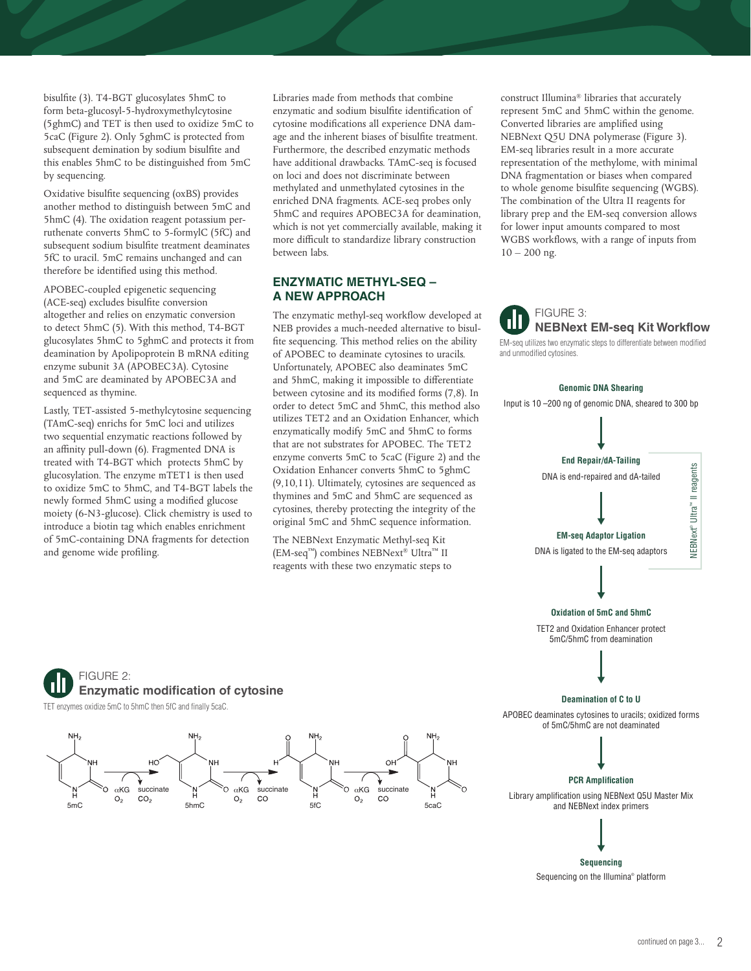bisulfite (3). T4-BGT glucosylates 5hmC to form beta-glucosyl-5-hydroxymethylcytosine (5ghmC) and TET is then used to oxidize 5mC to 5caC (Figure 2). Only 5ghmC is protected from subsequent demination by sodium bisulfite and this enables 5hmC to be distinguished from 5mC by sequencing.

Oxidative bisulfite sequencing (oxBS) provides another method to distinguish between 5mC and 5hmC (4). The oxidation reagent potassium perruthenate converts 5hmC to 5-formylC (5fC) and subsequent sodium bisulfite treatment deaminates 5fC to uracil. 5mC remains unchanged and can therefore be identified using this method.

APOBEC-coupled epigenetic sequencing (ACE-seq) excludes bisulfite conversion altogether and relies on enzymatic conversion to detect 5hmC (5). With this method, T4-BGT glucosylates 5hmC to 5ghmC and protects it from deamination by Apolipoprotein B mRNA editing enzyme subunit 3A (APOBEC3A). Cytosine and 5mC are deaminated by APOBEC3A and sequenced as thymine.

Lastly, TET-assisted 5-methylcytosine sequencing (TAmC-seq) enrichs for 5mC loci and utilizes two sequential enzymatic reactions followed by an affinity pull-down (6). Fragmented DNA is treated with T4-BGT which protects 5hmC by glucosylation. The enzyme mTET1 is then used to oxidize 5mC to 5hmC, and T4-BGT labels the newly formed 5hmC using a modified glucose moiety (6-N3-glucose). Click chemistry is used to introduce a biotin tag which enables enrichment of 5mC-containing DNA fragments for detection and genome wide profiling.

Libraries made from methods that combine enzymatic and sodium bisulfite identification of cytosine modifications all experience DNA damage and the inherent biases of bisulfite treatment. Furthermore, the described enzymatic methods have additional drawbacks. TAmC-seq is focused on loci and does not discriminate between methylated and unmethylated cytosines in the enriched DNA fragments. ACE-seq probes only 5hmC and requires APOBEC3A for deamination, which is not yet commercially available, making it more difficult to standardize library construction between labs.

#### **ENZYMATIC METHYL-SEQ – A NEW APPROACH**

The enzymatic methyl-seq workflow developed at NEB provides a much-needed alternative to bisulfite sequencing. This method relies on the ability of APOBEC to deaminate cytosines to uracils. Unfortunately, APOBEC also deaminates 5mC and 5hmC, making it impossible to differentiate between cytosine and its modified forms (7,8). In order to detect 5mC and 5hmC, this method also utilizes TET2 and an Oxidation Enhancer, which enzymatically modify 5mC and 5hmC to forms that are not substrates for APOBEC. The TET2 enzyme converts 5mC to 5caC (Figure 2) and the Oxidation Enhancer converts 5hmC to 5ghmC (9,10,11). Ultimately, cytosines are sequenced as thymines and 5mC and 5hmC are sequenced as cytosines, thereby protecting the integrity of the original 5mC and 5hmC sequence information.

The NEBNext Enzymatic Methyl-seq Kit (EM-seq™) combines NEBNext® Ultra™ II reagents with these two enzymatic steps to construct Illumina® libraries that accurately represent 5mC and 5hmC within the genome. Converted libraries are amplified using NEBNext Q5U DNA polymerase (Figure 3). EM-seq libraries result in a more accurate representation of the methylome, with minimal DNA fragmentation or biases when compared to whole genome bisulfite sequencing (WGBS). The combination of the Ultra II reagents for library prep and the EM-seq conversion allows for lower input amounts compared to most WGBS workflows, with a range of inputs from  $10 - 200$  ng.



EM-seq utilizes two enzymatic steps to differentiate between modified and unmodified cytosines.

#### **Genomic DNA Shearing**

Input is 10 –200 ng of genomic DNA, sheared to 300 bp



## FIGURE 2: **Enzymatic modification of cytosine** TET enzymes oxidize 5mC to 5hmC then 5fC and finally 5caC.

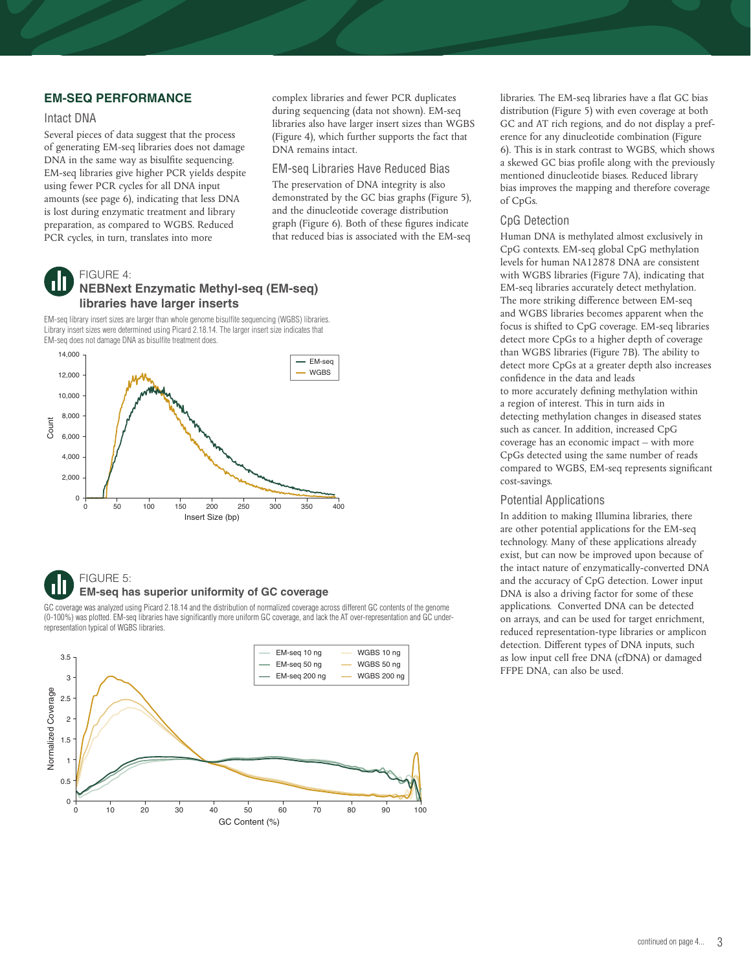#### **EM-SEQ PERFORMANCE**

#### Intact DNA

Several pieces of data suggest that the process of generating EM-seq libraries does not damage DNA in the same way as bisulfite sequencing. EM-seq libraries give higher PCR yields despite using fewer PCR cycles for all DNA input amounts (see page 6), indicating that less DNA is lost during enzymatic treatment and library preparation, as compared to WGBS. Reduced PCR cycles, in turn, translates into more



#### EM-seq Libraries Have Reduced Bias

The preservation of DNA integrity is also demonstrated by the GC bias graphs (Figure 5), and the dinucleotide coverage distribution graph (Figure 6). Both of these figures indicate that reduced bias is associated with the EM-seq

## FIGURE 4: **NEBNext Enzymatic Methyl-seq (EM-seq) libraries have larger inserts**

EM-seq library insert sizes are larger than whole genome bisulfite sequencing (WGBS) libraries. Library insert sizes were determined using Picard 2.18.14. The larger insert size indicates that EM-seq does not damage DNA as bisulfite treatment does.



#### FIGURE 5:

#### **EM-seq has superior uniformity of GC coverage**

GC coverage was analyzed using Picard 2.18.14 and the distribution of normalized coverage across different GC contents of the genome (0-100%) was plotted. EM-seq libraries have significantly more uniform GC coverage, and lack the AT over-representation and GC underrepresentation typical of WGBS libraries.



libraries. The EM-seq libraries have a flat GC bias distribution (Figure 5) with even coverage at both GC and AT rich regions, and do not display a preference for any dinucleotide combination (Figure 6). This is in stark contrast to WGBS, which shows a skewed GC bias profile along with the previously mentioned dinucleotide biases. Reduced library bias improves the mapping and therefore coverage of CpGs.

#### CpG Detection

Human DNA is methylated almost exclusively in CpG contexts. EM-seq global CpG methylation levels for human NA12878 DNA are consistent with WGBS libraries (Figure 7A), indicating that EM-seq libraries accurately detect methylation. The more striking difference between EM-seq and WGBS libraries becomes apparent when the focus is shifted to CpG coverage. EM-seq libraries detect more CpGs to a higher depth of coverage than WGBS libraries (Figure 7B). The ability to detect more CpGs at a greater depth also increases confidence in the data and leads to more accurately defining methylation within a region of interest. This in turn aids in detecting methylation changes in diseased states such as cancer. In addition, increased CpG coverage has an economic impact – with more CpGs detected using the same number of reads compared to WGBS, EM-seq represents significant cost-savings.

#### Potential Applications

In addition to making Illumina libraries, there are other potential applications for the EM-seq technology. Many of these applications already exist, but can now be improved upon because of the intact nature of enzymatically-converted DNA and the accuracy of CpG detection. Lower input DNA is also a driving factor for some of these applications. Converted DNA can be detected on arrays, and can be used for target enrichment, reduced representation-type libraries or amplicon detection. Different types of DNA inputs, such as low input cell free DNA (cfDNA) or damaged FFPE DNA, can also be used.